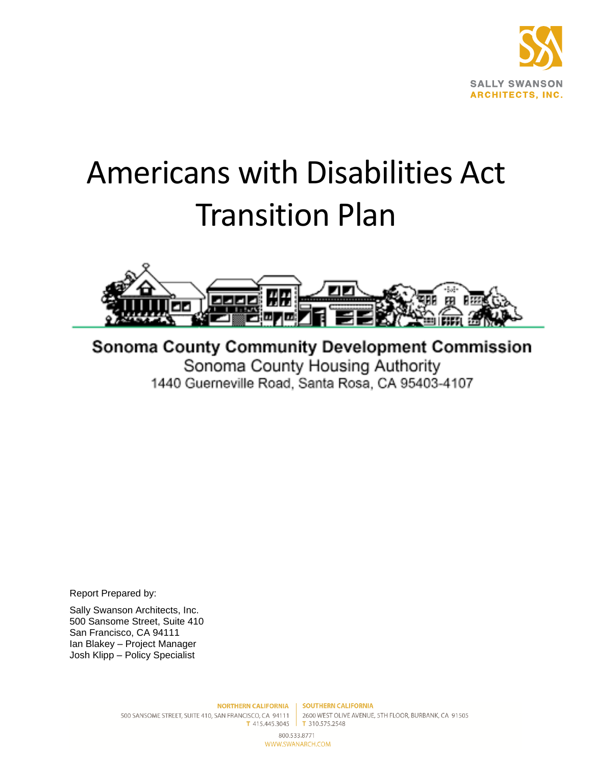

# <span id="page-0-0"></span>Americans with Disabilities Act Transition Plan



**Sonoma County Community Development Commission** Sonoma County Housing Authority 1440 Guerneville Road, Santa Rosa, CA 95403-4107

Report Prepared by:

Sally Swanson Architects, Inc. 500 Sansome Street, Suite 410 San Francisco, CA 94111 Ian Blakey – Project Manager Josh Klipp – Policy Specialist

800.533.8771 WWW.SWANARCH.COM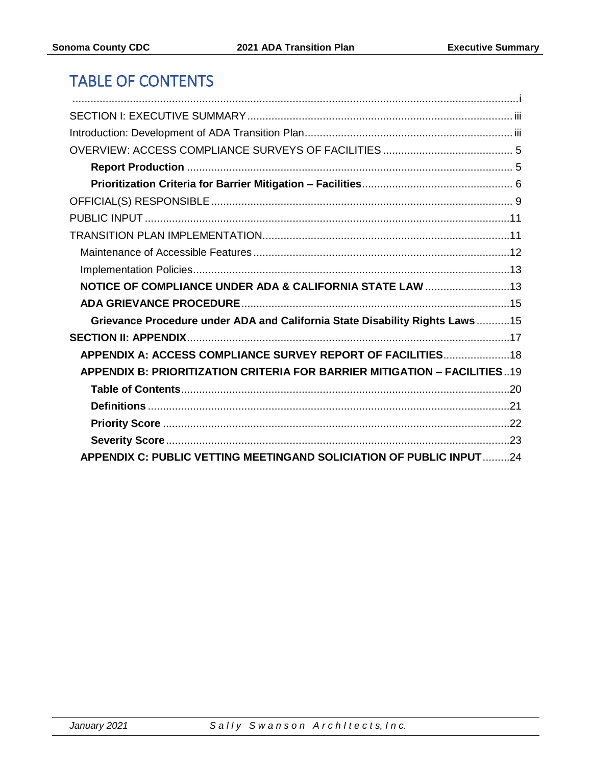# TABLE OF CONTENTS

| NOTICE OF COMPLIANCE UNDER ADA & CALIFORNIA STATE LAW 13                         |  |
|----------------------------------------------------------------------------------|--|
|                                                                                  |  |
| Grievance Procedure under ADA and California State Disability Rights Laws15      |  |
|                                                                                  |  |
| APPENDIX A: ACCESS COMPLIANCE SURVEY REPORT OF FACILITIES 18                     |  |
| <b>APPENDIX B: PRIORITIZATION CRITERIA FOR BARRIER MITIGATION - FACILITIES19</b> |  |
|                                                                                  |  |
|                                                                                  |  |
|                                                                                  |  |
|                                                                                  |  |
| <b>APPENDIX C: PUBLIC VETTING MEETINGAND SOLICIATION OF PUBLIC INPUT 24</b>      |  |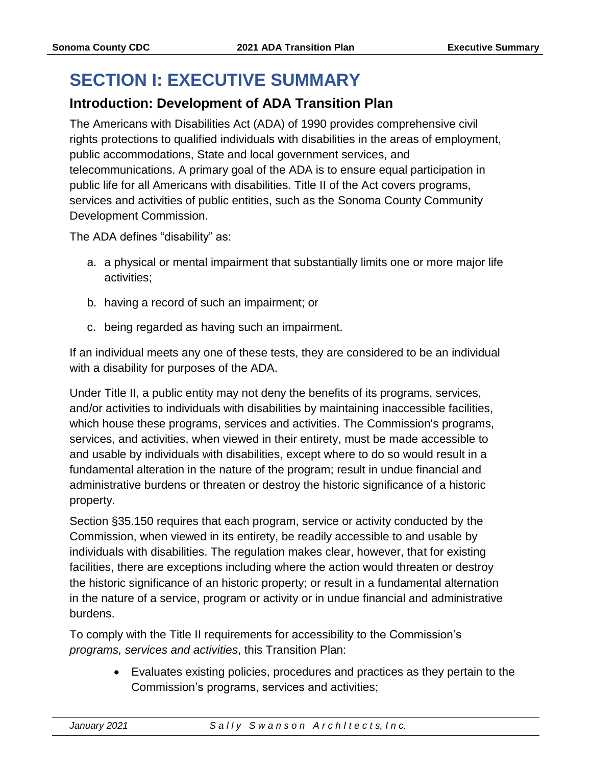# <span id="page-2-0"></span>**SECTION I: EXECUTIVE SUMMARY**

## <span id="page-2-1"></span>**Introduction: Development of ADA Transition Plan**

The Americans with Disabilities Act (ADA) of 1990 provides comprehensive civil rights protections to qualified individuals with disabilities in the areas of employment, public accommodations, State and local government services, and telecommunications. A primary goal of the ADA is to ensure equal participation in public life for all Americans with disabilities. Title II of the Act covers programs, services and activities of public entities, such as the Sonoma County Community Development Commission.

The ADA defines "disability" as:

- a. a physical or mental impairment that substantially limits one or more major life activities;
- b. having a record of such an impairment; or
- c. being regarded as having such an impairment.

If an individual meets any one of these tests, they are considered to be an individual with a disability for purposes of the ADA.

Under Title II, a public entity may not deny the benefits of its programs, services, and/or activities to individuals with disabilities by maintaining inaccessible facilities, which house these programs, services and activities. The Commission's programs, services, and activities, when viewed in their entirety, must be made accessible to and usable by individuals with disabilities, except where to do so would result in a fundamental alteration in the nature of the program; result in undue financial and administrative burdens or threaten or destroy the historic significance of a historic property.

Section §35.150 requires that each program, service or activity conducted by the Commission, when viewed in its entirety, be readily accessible to and usable by individuals with disabilities. The regulation makes clear, however, that for existing facilities, there are exceptions including where the action would threaten or destroy the historic significance of an historic property; or result in a fundamental alternation in the nature of a service, program or activity or in undue financial and administrative burdens.

To comply with the Title II requirements for accessibility to the Commission's *programs, services and activities*, this Transition Plan:

> • Evaluates existing policies, procedures and practices as they pertain to the Commission's programs, services and activities;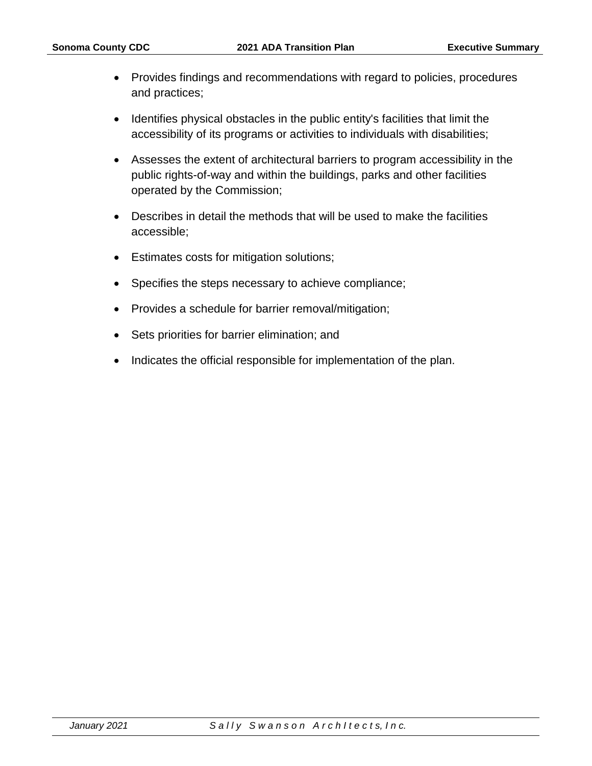- Provides findings and recommendations with regard to policies, procedures and practices;
- Identifies physical obstacles in the public entity's facilities that limit the accessibility of its programs or activities to individuals with disabilities;
- Assesses the extent of architectural barriers to program accessibility in the public rights-of-way and within the buildings, parks and other facilities operated by the Commission;
- Describes in detail the methods that will be used to make the facilities accessible;
- Estimates costs for mitigation solutions;
- Specifies the steps necessary to achieve compliance;
- Provides a schedule for barrier removal/mitigation;
- Sets priorities for barrier elimination; and
- Indicates the official responsible for implementation of the plan.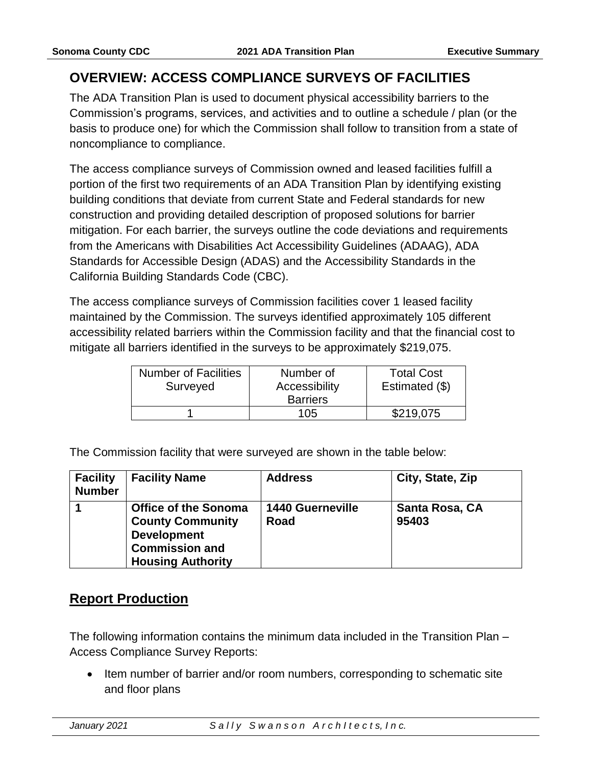## <span id="page-4-0"></span>**OVERVIEW: ACCESS COMPLIANCE SURVEYS OF FACILITIES**

The ADA Transition Plan is used to document physical accessibility barriers to the Commission's programs, services, and activities and to outline a schedule / plan (or the basis to produce one) for which the Commission shall follow to transition from a state of noncompliance to compliance.

The access compliance surveys of Commission owned and leased facilities fulfill a portion of the first two requirements of an ADA Transition Plan by identifying existing building conditions that deviate from current State and Federal standards for new construction and providing detailed description of proposed solutions for barrier mitigation. For each barrier, the surveys outline the code deviations and requirements from the Americans with Disabilities Act Accessibility Guidelines (ADAAG), ADA Standards for Accessible Design (ADAS) and the Accessibility Standards in the California Building Standards Code (CBC).

The access compliance surveys of Commission facilities cover 1 leased facility maintained by the Commission. The surveys identified approximately 105 different accessibility related barriers within the Commission facility and that the financial cost to mitigate all barriers identified in the surveys to be approximately \$219,075.

| <b>Number of Facilities</b> | Number of       | <b>Total Cost</b> |
|-----------------------------|-----------------|-------------------|
| Surveyed                    | Accessibility   | Estimated (\$)    |
|                             | <b>Barriers</b> |                   |
|                             | 105             | \$219,075         |

The Commission facility that were surveyed are shown in the table below:

| <b>Facility</b><br><b>Number</b> | <b>Facility Name</b>                                                                                                              | <b>Address</b>                  | City, State, Zip        |
|----------------------------------|-----------------------------------------------------------------------------------------------------------------------------------|---------------------------------|-------------------------|
|                                  | <b>Office of the Sonoma</b><br><b>County Community</b><br><b>Development</b><br><b>Commission and</b><br><b>Housing Authority</b> | <b>1440 Guerneville</b><br>Road | Santa Rosa, CA<br>95403 |

## <span id="page-4-1"></span>**Report Production**

The following information contains the minimum data included in the Transition Plan – Access Compliance Survey Reports:

• Item number of barrier and/or room numbers, corresponding to schematic site and floor plans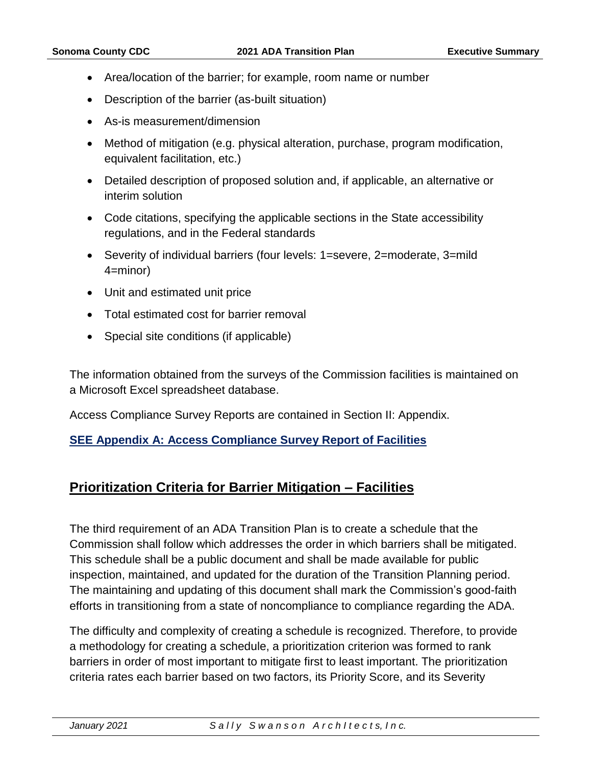- Area/location of the barrier; for example, room name or number
- Description of the barrier (as-built situation)
- As-is measurement/dimension
- Method of mitigation (e.g. physical alteration, purchase, program modification, equivalent facilitation, etc.)
- Detailed description of proposed solution and, if applicable, an alternative or interim solution
- Code citations, specifying the applicable sections in the State accessibility regulations, and in the Federal standards
- Severity of individual barriers (four levels: 1=severe, 2=moderate, 3=mild 4=minor)
- Unit and estimated unit price
- Total estimated cost for barrier removal
- Special site conditions (if applicable)

The information obtained from the surveys of the Commission facilities is maintained on a Microsoft Excel spreadsheet database.

Access Compliance Survey Reports are contained in Section II: Appendix.

#### **SEE Appendix A: Access Compliance Survey Report of Facilities**

## <span id="page-5-0"></span>**Prioritization Criteria for Barrier Mitigation – Facilities**

The third requirement of an ADA Transition Plan is to create a schedule that the Commission shall follow which addresses the order in which barriers shall be mitigated. This schedule shall be a public document and shall be made available for public inspection, maintained, and updated for the duration of the Transition Planning period. The maintaining and updating of this document shall mark the Commission's good-faith efforts in transitioning from a state of noncompliance to compliance regarding the ADA.

The difficulty and complexity of creating a schedule is recognized. Therefore, to provide a methodology for creating a schedule, a prioritization criterion was formed to rank barriers in order of most important to mitigate first to least important. The prioritization criteria rates each barrier based on two factors, its Priority Score, and its Severity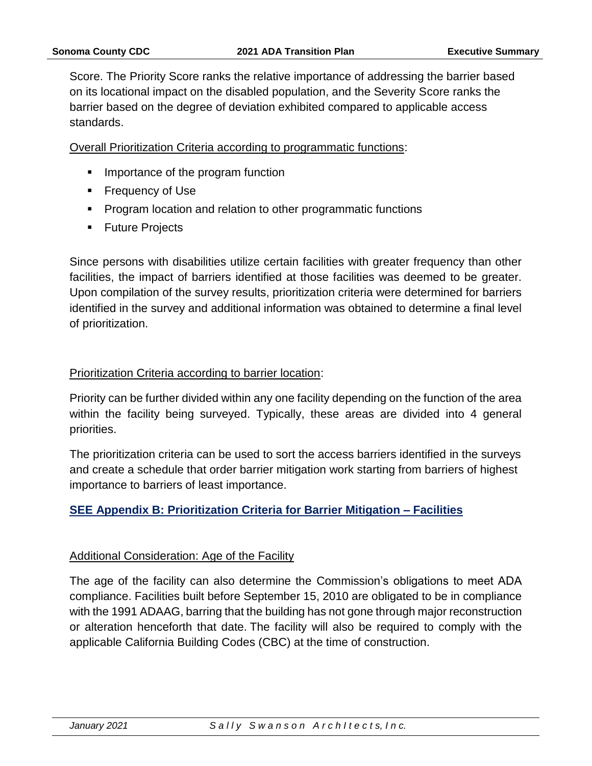Score. The Priority Score ranks the relative importance of addressing the barrier based on its locational impact on the disabled population, and the Severity Score ranks the barrier based on the degree of deviation exhibited compared to applicable access standards.

Overall Prioritization Criteria according to programmatic functions:

- Importance of the program function
- Frequency of Use
- Program location and relation to other programmatic functions
- Future Projects

Since persons with disabilities utilize certain facilities with greater frequency than other facilities, the impact of barriers identified at those facilities was deemed to be greater. Upon compilation of the survey results, prioritization criteria were determined for barriers identified in the survey and additional information was obtained to determine a final level of prioritization.

#### Prioritization Criteria according to barrier location:

Priority can be further divided within any one facility depending on the function of the area within the facility being surveyed. Typically, these areas are divided into 4 general priorities.

The prioritization criteria can be used to sort the access barriers identified in the surveys and create a schedule that order barrier mitigation work starting from barriers of highest importance to barriers of least importance.

#### **SEE Appendix B: Prioritization Criteria for Barrier Mitigation – Facilities**

#### Additional Consideration: Age of the Facility

The age of the facility can also determine the Commission's obligations to meet ADA compliance. Facilities built before September 15, 2010 are obligated to be in compliance with the 1991 ADAAG, barring that the building has not gone through major reconstruction or alteration henceforth that date. The facility will also be required to comply with the applicable California Building Codes (CBC) at the time of construction.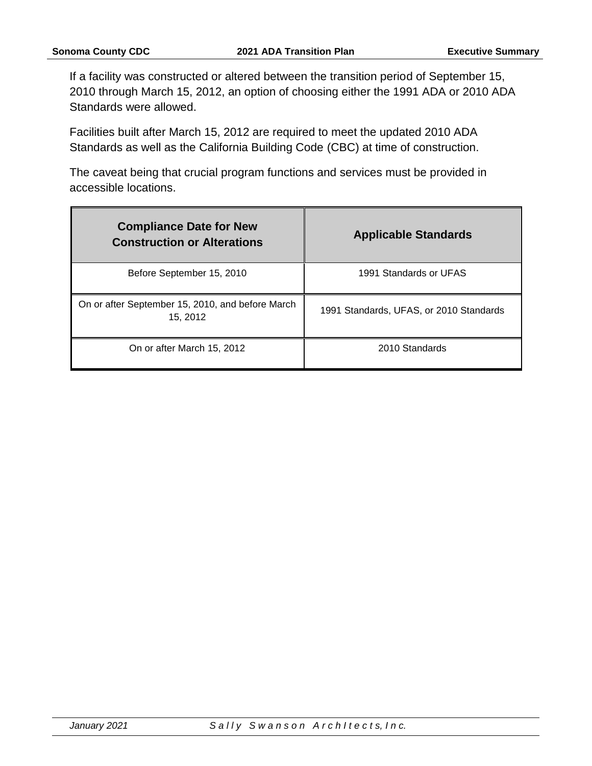If a facility was constructed or altered between the transition period of September 15, 2010 through March 15, 2012, an option of choosing either the 1991 ADA or 2010 ADA Standards were allowed.

Facilities built after March 15, 2012 are required to meet the updated 2010 ADA Standards as well as the California Building Code (CBC) at time of construction.

The caveat being that crucial program functions and services must be provided in accessible locations.

| <b>Compliance Date for New</b><br><b>Construction or Alterations</b> | <b>Applicable Standards</b>             |
|----------------------------------------------------------------------|-----------------------------------------|
| Before September 15, 2010                                            | 1991 Standards or UFAS                  |
| On or after September 15, 2010, and before March<br>15, 2012         | 1991 Standards, UFAS, or 2010 Standards |
| On or after March 15, 2012                                           | 2010 Standards                          |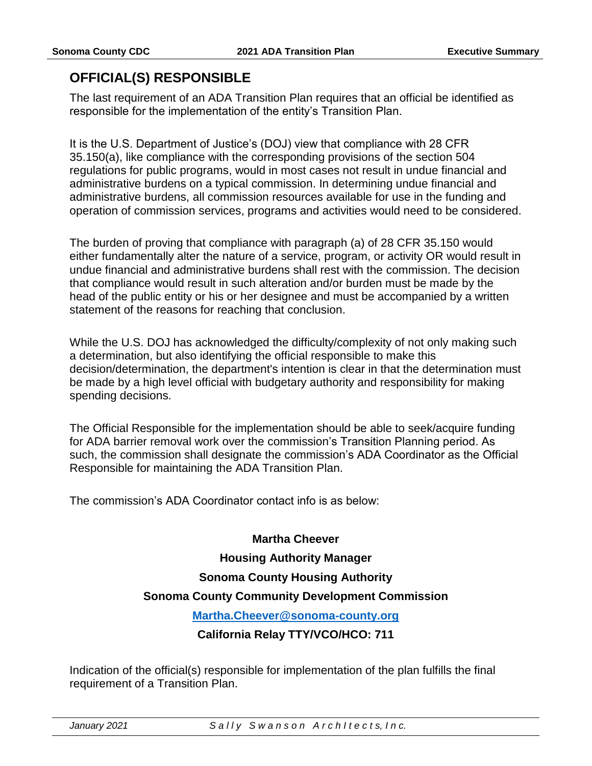## <span id="page-8-0"></span>**OFFICIAL(S) RESPONSIBLE**

The last requirement of an ADA Transition Plan requires that an official be identified as responsible for the implementation of the entity's Transition Plan.

It is the U.S. Department of Justice's (DOJ) view that compliance with 28 CFR 35.150(a), like compliance with the corresponding provisions of the section 504 regulations for public programs, would in most cases not result in undue financial and administrative burdens on a typical commission. In determining undue financial and administrative burdens, all commission resources available for use in the funding and operation of commission services, programs and activities would need to be considered.

The burden of proving that compliance with paragraph (a) of 28 CFR 35.150 would either fundamentally alter the nature of a service, program, or activity OR would result in undue financial and administrative burdens shall rest with the commission. The decision that compliance would result in such alteration and/or burden must be made by the head of the public entity or his or her designee and must be accompanied by a written statement of the reasons for reaching that conclusion.

While the U.S. DOJ has acknowledged the difficulty/complexity of not only making such a determination, but also identifying the official responsible to make this decision/determination, the department's intention is clear in that the determination must be made by a high level official with budgetary authority and responsibility for making spending decisions.

The Official Responsible for the implementation should be able to seek/acquire funding for ADA barrier removal work over the commission's Transition Planning period. As such, the commission shall designate the commission's ADA Coordinator as the Official Responsible for maintaining the ADA Transition Plan.

The commission's ADA Coordinator contact info is as below:

#### **Martha Cheever**

#### **Housing Authority Manager**

#### **Sonoma County Housing Authority**

#### **Sonoma County Community Development Commission**

#### **[Martha.Cheever@sonoma-county.org](mailto:Martha.Cheever@sonoma-county.org)**

#### **California Relay TTY/VCO/HCO: 711**

Indication of the official(s) responsible for implementation of the plan fulfills the final requirement of a Transition Plan.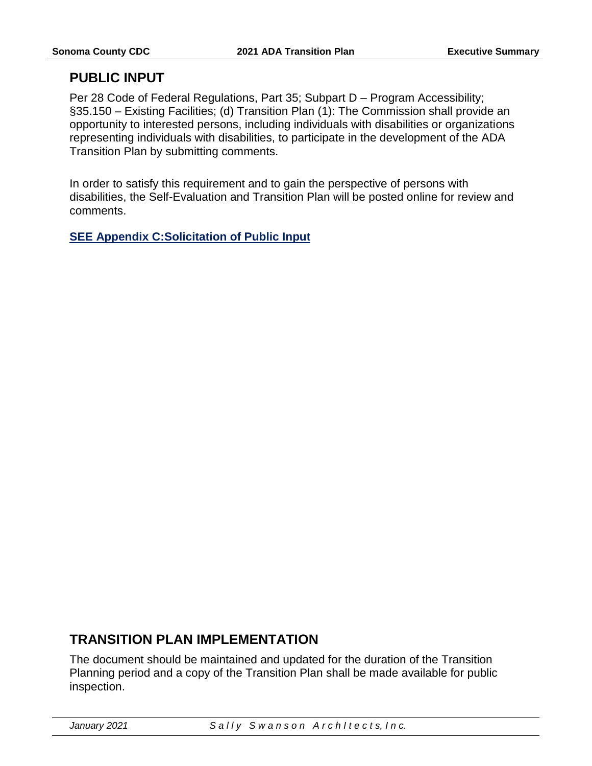## <span id="page-10-0"></span>**PUBLIC INPUT**

Per 28 Code of Federal Regulations, Part 35; Subpart D – Program Accessibility; §35.150 – Existing Facilities; (d) Transition Plan (1): The Commission shall provide an opportunity to interested persons, including individuals with disabilities or organizations representing individuals with disabilities, to participate in the development of the ADA Transition Plan by submitting comments.

In order to satisfy this requirement and to gain the perspective of persons with disabilities, the Self-Evaluation and Transition Plan will be posted online for review and comments.

**SEE Appendix C:Solicitation of Public Input**

## <span id="page-10-1"></span>**TRANSITION PLAN IMPLEMENTATION**

The document should be maintained and updated for the duration of the Transition Planning period and a copy of the Transition Plan shall be made available for public inspection.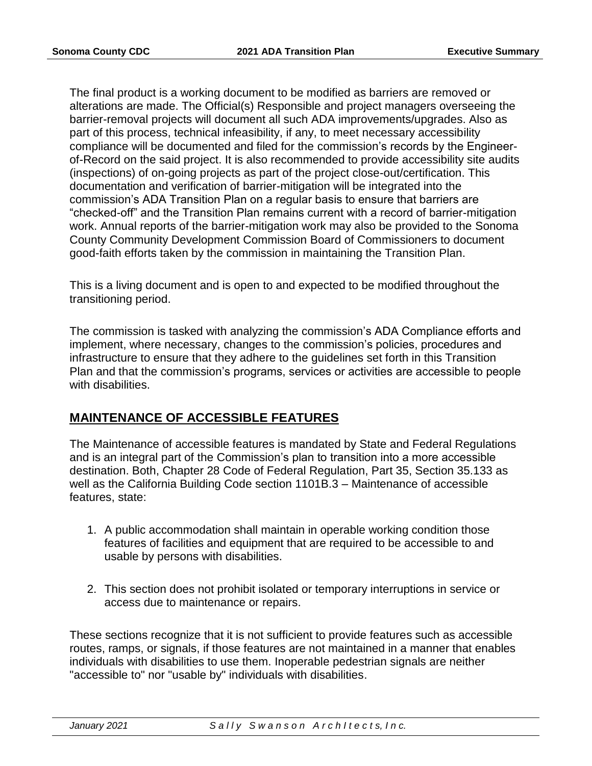The final product is a working document to be modified as barriers are removed or alterations are made. The Official(s) Responsible and project managers overseeing the barrier-removal projects will document all such ADA improvements/upgrades. Also as part of this process, technical infeasibility, if any, to meet necessary accessibility compliance will be documented and filed for the commission's records by the Engineerof-Record on the said project. It is also recommended to provide accessibility site audits (inspections) of on-going projects as part of the project close-out/certification. This documentation and verification of barrier-mitigation will be integrated into the commission's ADA Transition Plan on a regular basis to ensure that barriers are "checked-off" and the Transition Plan remains current with a record of barrier-mitigation work. Annual reports of the barrier-mitigation work may also be provided to the Sonoma County Community Development Commission Board of Commissioners to document good-faith efforts taken by the commission in maintaining the Transition Plan.

This is a living document and is open to and expected to be modified throughout the transitioning period.

The commission is tasked with analyzing the commission's ADA Compliance efforts and implement, where necessary, changes to the commission's policies, procedures and infrastructure to ensure that they adhere to the guidelines set forth in this Transition Plan and that the commission's programs, services or activities are accessible to people with disabilities.

#### <span id="page-11-0"></span>**MAINTENANCE OF ACCESSIBLE FEATURES**

The Maintenance of accessible features is mandated by State and Federal Regulations and is an integral part of the Commission's plan to transition into a more accessible destination. Both, Chapter 28 Code of Federal Regulation, Part 35, Section 35.133 as well as the California Building Code section 1101B.3 – Maintenance of accessible features, state:

- 1. A public accommodation shall maintain in operable working condition those features of facilities and equipment that are required to be accessible to and usable by persons with disabilities.
- 2. This section does not prohibit isolated or temporary interruptions in service or access due to maintenance or repairs.

These sections recognize that it is not sufficient to provide features such as accessible routes, ramps, or signals, if those features are not maintained in a manner that enables individuals with disabilities to use them. Inoperable pedestrian signals are neither "accessible to" nor "usable by" individuals with disabilities.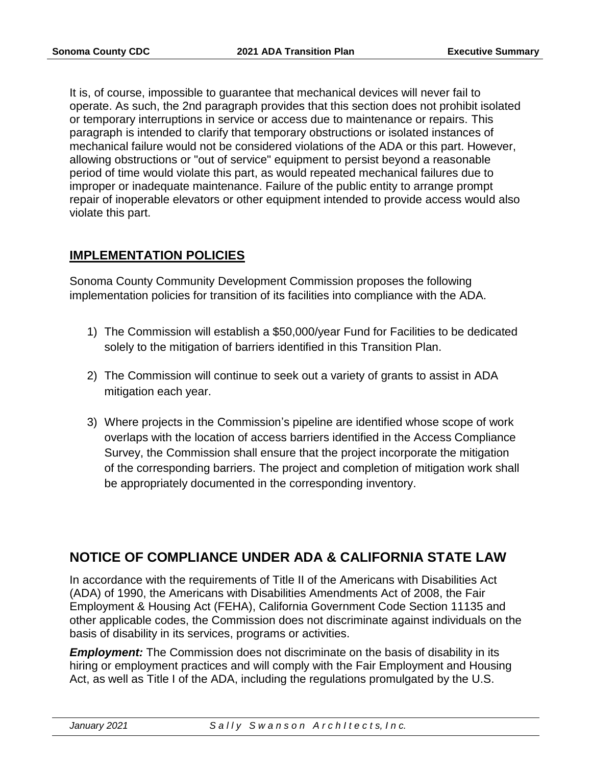It is, of course, impossible to guarantee that mechanical devices will never fail to operate. As such, the 2nd paragraph provides that this section does not prohibit isolated or temporary interruptions in service or access due to maintenance or repairs. This paragraph is intended to clarify that temporary obstructions or isolated instances of mechanical failure would not be considered violations of the ADA or this part. However, allowing obstructions or "out of service" equipment to persist beyond a reasonable period of time would violate this part, as would repeated mechanical failures due to improper or inadequate maintenance. Failure of the public entity to arrange prompt repair of inoperable elevators or other equipment intended to provide access would also violate this part.

#### <span id="page-12-0"></span>**IMPLEMENTATION POLICIES**

Sonoma County Community Development Commission proposes the following implementation policies for transition of its facilities into compliance with the ADA.

- 1) The Commission will establish a \$50,000/year Fund for Facilities to be dedicated solely to the mitigation of barriers identified in this Transition Plan.
- 2) The Commission will continue to seek out a variety of grants to assist in ADA mitigation each year.
- 3) Where projects in the Commission's pipeline are identified whose scope of work overlaps with the location of access barriers identified in the Access Compliance Survey, the Commission shall ensure that the project incorporate the mitigation of the corresponding barriers. The project and completion of mitigation work shall be appropriately documented in the corresponding inventory.

## <span id="page-12-1"></span>**NOTICE OF COMPLIANCE UNDER ADA & CALIFORNIA STATE LAW**

In accordance with the requirements of Title II of the Americans with Disabilities Act (ADA) of 1990, the Americans with Disabilities Amendments Act of 2008, the Fair Employment & Housing Act (FEHA), California Government Code Section 11135 and other applicable codes, the Commission does not discriminate against individuals on the basis of disability in its services, programs or activities.

*Employment:* The Commission does not discriminate on the basis of disability in its hiring or employment practices and will comply with the Fair Employment and Housing Act, as well as Title I of the ADA, including the regulations promulgated by the U.S.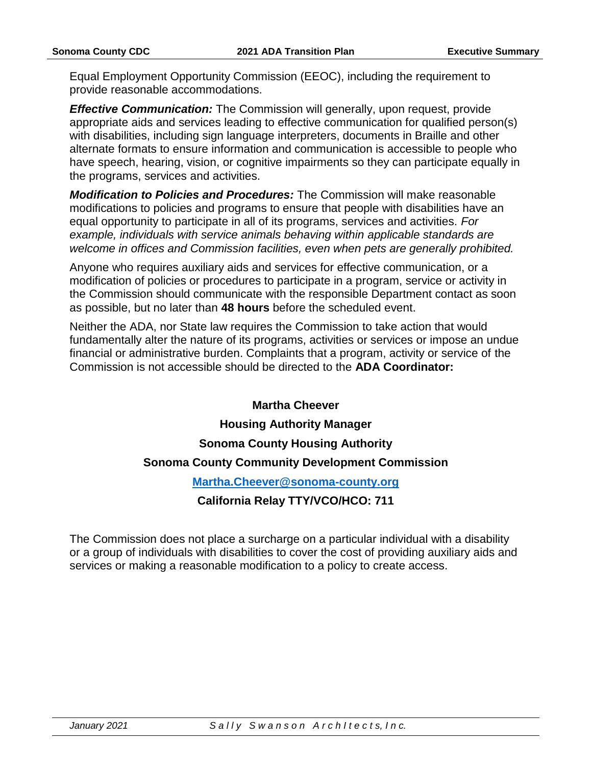Equal Employment Opportunity Commission (EEOC), including the requirement to provide reasonable accommodations.

*Effective Communication:* The Commission will generally, upon request, provide appropriate aids and services leading to effective communication for qualified person(s) with disabilities, including sign language interpreters, documents in Braille and other alternate formats to ensure information and communication is accessible to people who have speech, hearing, vision, or cognitive impairments so they can participate equally in the programs, services and activities.

*Modification to Policies and Procedures:* The Commission will make reasonable modifications to policies and programs to ensure that people with disabilities have an equal opportunity to participate in all of its programs, services and activities. *For example, individuals with service animals behaving within applicable standards are welcome in offices and Commission facilities, even when pets are generally prohibited.*

Anyone who requires auxiliary aids and services for effective communication, or a modification of policies or procedures to participate in a program, service or activity in the Commission should communicate with the responsible Department contact as soon as possible, but no later than **48 hours** before the scheduled event.

Neither the ADA, nor State law requires the Commission to take action that would fundamentally alter the nature of its programs, activities or services or impose an undue financial or administrative burden. Complaints that a program, activity or service of the Commission is not accessible should be directed to the **ADA Coordinator:**

#### **Martha Cheever**

#### **Housing Authority Manager**

#### **Sonoma County Housing Authority**

#### **Sonoma County Community Development Commission**

#### **[Martha.Cheever@sonoma-county.org](mailto:Martha.Cheever@sonoma-county.org)**

#### **California Relay TTY/VCO/HCO: 711**

The Commission does not place a surcharge on a particular individual with a disability or a group of individuals with disabilities to cover the cost of providing auxiliary aids and services or making a reasonable modification to a policy to create access.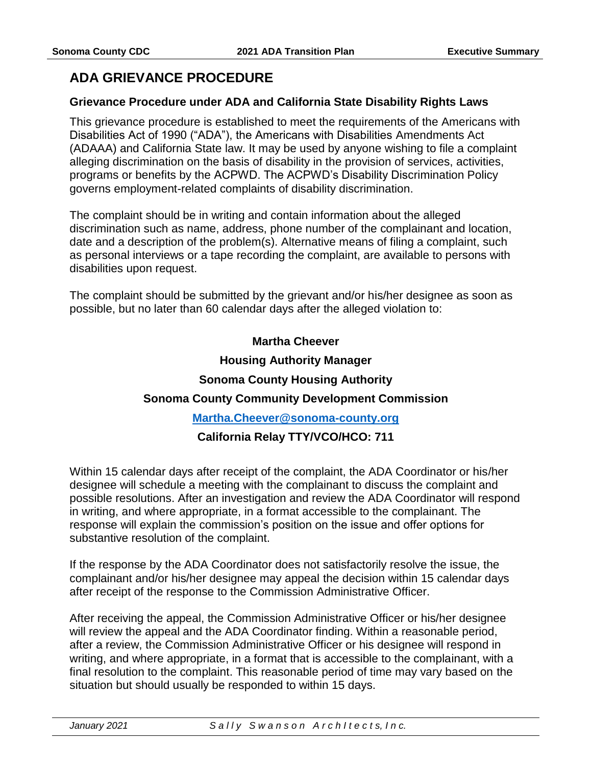## <span id="page-14-0"></span>**ADA GRIEVANCE PROCEDURE**

#### <span id="page-14-1"></span>**Grievance Procedure under ADA and California State Disability Rights Laws**

This grievance procedure is established to meet the requirements of the Americans with Disabilities Act of 1990 ("ADA"), the Americans with Disabilities Amendments Act (ADAAA) and California State law. It may be used by anyone wishing to file a complaint alleging discrimination on the basis of disability in the provision of services, activities, programs or benefits by the ACPWD. The ACPWD's Disability Discrimination Policy governs employment-related complaints of disability discrimination.

The complaint should be in writing and contain information about the alleged discrimination such as name, address, phone number of the complainant and location, date and a description of the problem(s). Alternative means of filing a complaint, such as personal interviews or a tape recording the complaint, are available to persons with disabilities upon request.

The complaint should be submitted by the grievant and/or his/her designee as soon as possible, but no later than 60 calendar days after the alleged violation to:

#### **Martha Cheever**

#### **Housing Authority Manager**

#### **Sonoma County Housing Authority**

#### **Sonoma County Community Development Commission**

#### **[Martha.Cheever@sonoma-county.org](mailto:Martha.Cheever@sonoma-county.org)**

#### **California Relay TTY/VCO/HCO: 711**

Within 15 calendar days after receipt of the complaint, the ADA Coordinator or his/her designee will schedule a meeting with the complainant to discuss the complaint and possible resolutions. After an investigation and review the ADA Coordinator will respond in writing, and where appropriate, in a format accessible to the complainant. The response will explain the commission's position on the issue and offer options for substantive resolution of the complaint.

If the response by the ADA Coordinator does not satisfactorily resolve the issue, the complainant and/or his/her designee may appeal the decision within 15 calendar days after receipt of the response to the Commission Administrative Officer.

After receiving the appeal, the Commission Administrative Officer or his/her designee will review the appeal and the ADA Coordinator finding. Within a reasonable period, after a review, the Commission Administrative Officer or his designee will respond in writing, and where appropriate, in a format that is accessible to the complainant, with a final resolution to the complaint. This reasonable period of time may vary based on the situation but should usually be responded to within 15 days.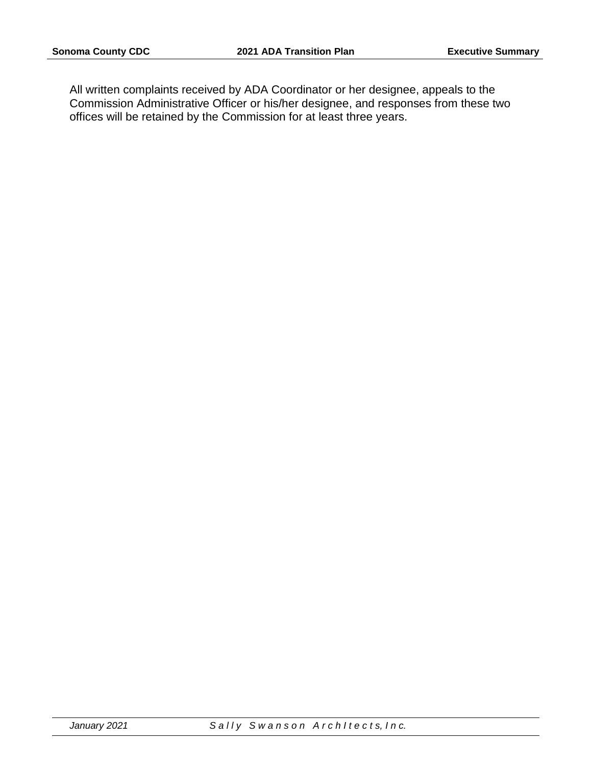All written complaints received by ADA Coordinator or her designee, appeals to the Commission Administrative Officer or his/her designee, and responses from these two offices will be retained by the Commission for at least three years.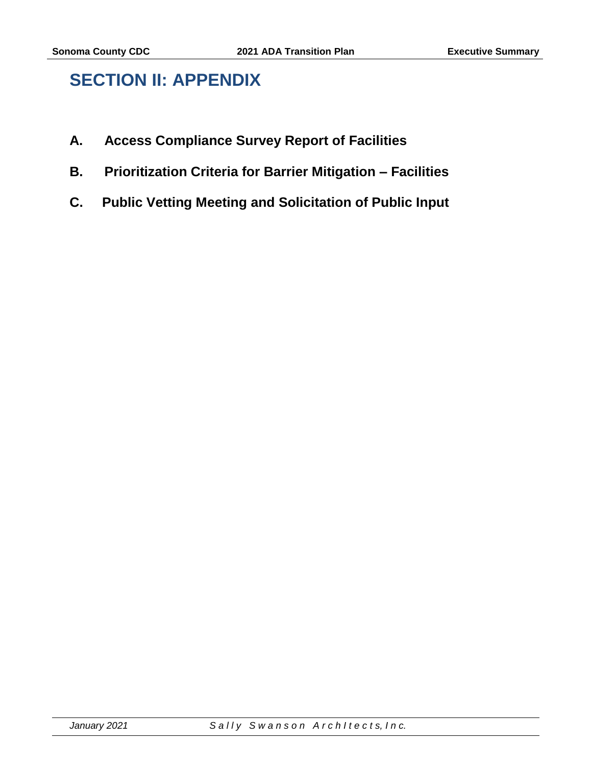# <span id="page-16-0"></span>**SECTION II: APPENDIX**

- **A. Access Compliance Survey Report of Facilities**
- **B. Prioritization Criteria for Barrier Mitigation – Facilities**
- **C. Public Vetting Meeting and Solicitation of Public Input**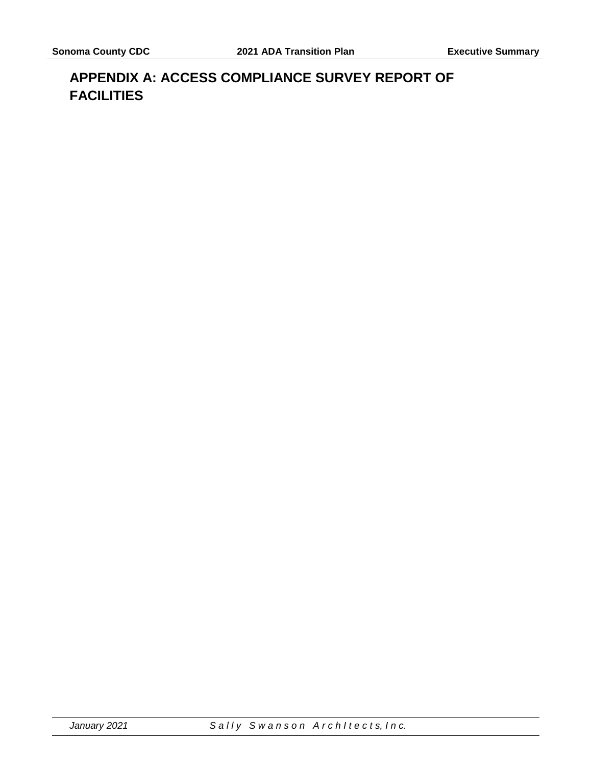# <span id="page-17-0"></span>**APPENDIX A: ACCESS COMPLIANCE SURVEY REPORT OF FACILITIES**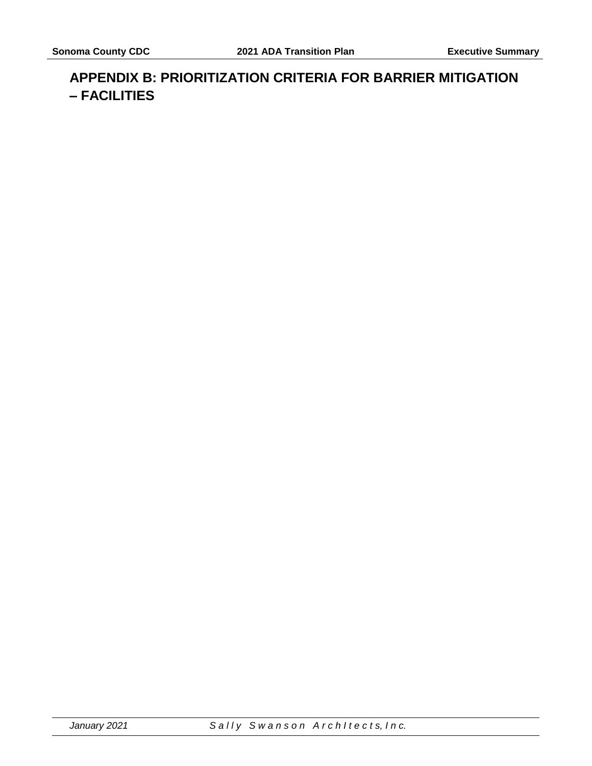## <span id="page-18-0"></span>**APPENDIX B: PRIORITIZATION CRITERIA FOR BARRIER MITIGATION – FACILITIES**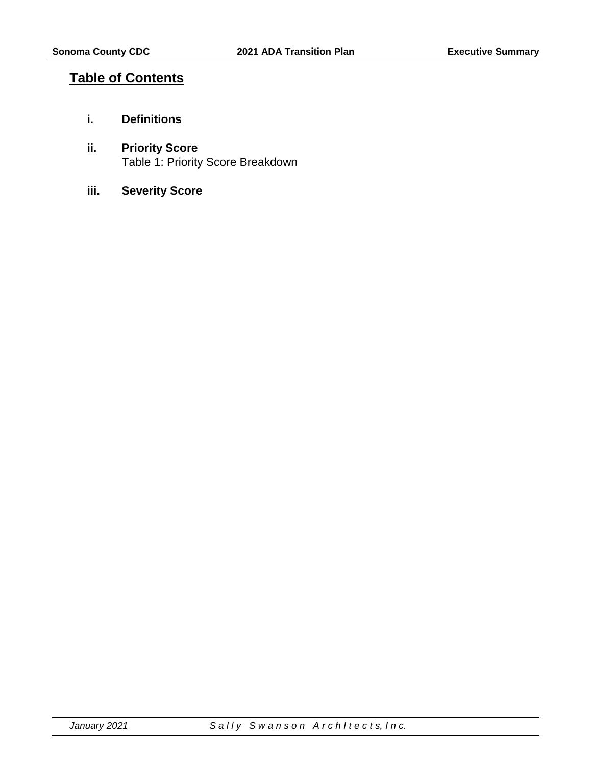## <span id="page-19-0"></span>**Table of Contents**

- **i. Definitions**
- **ii. Priority Score** Table 1: Priority Score Breakdown
- **iii. Severity Score**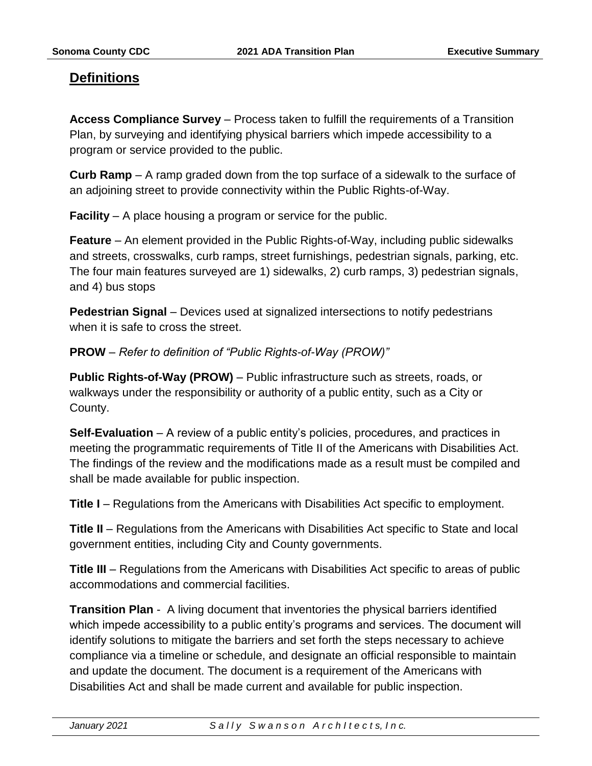## <span id="page-20-0"></span>**Definitions**

**Access Compliance Survey** – Process taken to fulfill the requirements of a Transition Plan, by surveying and identifying physical barriers which impede accessibility to a program or service provided to the public.

**Curb Ramp** – A ramp graded down from the top surface of a sidewalk to the surface of an adjoining street to provide connectivity within the Public Rights-of-Way.

**Facility** – A place housing a program or service for the public.

**Feature** – An element provided in the Public Rights-of-Way, including public sidewalks and streets, crosswalks, curb ramps, street furnishings, pedestrian signals, parking, etc. The four main features surveyed are 1) sidewalks, 2) curb ramps, 3) pedestrian signals, and 4) bus stops

**Pedestrian Signal** – Devices used at signalized intersections to notify pedestrians when it is safe to cross the street.

**PROW** – *Refer to definition of "Public Rights-of-Way (PROW)"*

**Public Rights-of-Way (PROW)** – Public infrastructure such as streets, roads, or walkways under the responsibility or authority of a public entity, such as a City or County.

**Self-Evaluation** – A review of a public entity's policies, procedures, and practices in meeting the programmatic requirements of Title II of the Americans with Disabilities Act. The findings of the review and the modifications made as a result must be compiled and shall be made available for public inspection.

**Title I** – Regulations from the Americans with Disabilities Act specific to employment.

**Title II** – Regulations from the Americans with Disabilities Act specific to State and local government entities, including City and County governments.

**Title III** – Regulations from the Americans with Disabilities Act specific to areas of public accommodations and commercial facilities.

**Transition Plan** - A living document that inventories the physical barriers identified which impede accessibility to a public entity's programs and services. The document will identify solutions to mitigate the barriers and set forth the steps necessary to achieve compliance via a timeline or schedule, and designate an official responsible to maintain and update the document. The document is a requirement of the Americans with Disabilities Act and shall be made current and available for public inspection.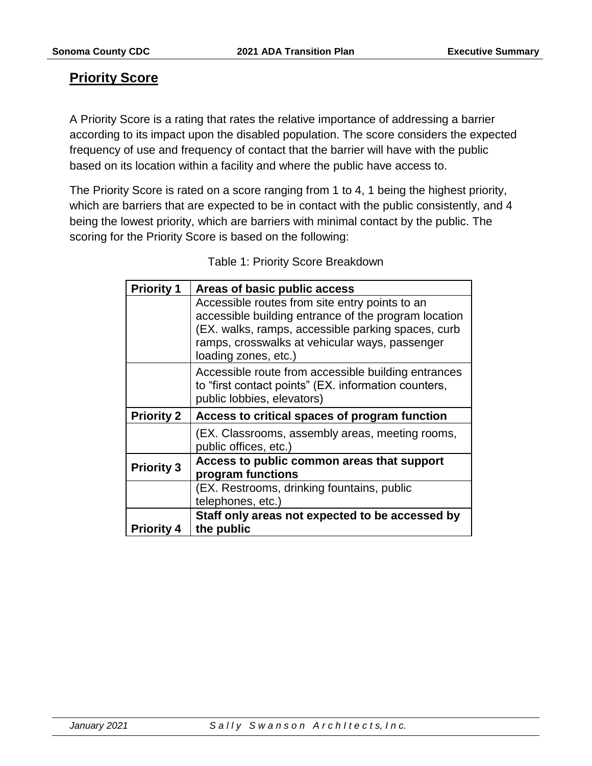## <span id="page-21-0"></span>**Priority Score**

A Priority Score is a rating that rates the relative importance of addressing a barrier according to its impact upon the disabled population. The score considers the expected frequency of use and frequency of contact that the barrier will have with the public based on its location within a facility and where the public have access to.

The Priority Score is rated on a score ranging from 1 to 4, 1 being the highest priority, which are barriers that are expected to be in contact with the public consistently, and 4 being the lowest priority, which are barriers with minimal contact by the public. The scoring for the Priority Score is based on the following:

| <b>Priority 1</b> | Areas of basic public access                                                                                                                                                                                   |
|-------------------|----------------------------------------------------------------------------------------------------------------------------------------------------------------------------------------------------------------|
|                   | Accessible routes from site entry points to an<br>accessible building entrance of the program location<br>(EX. walks, ramps, accessible parking spaces, curb<br>ramps, crosswalks at vehicular ways, passenger |
|                   | loading zones, etc.)                                                                                                                                                                                           |
|                   | Accessible route from accessible building entrances<br>to "first contact points" (EX. information counters,<br>public lobbies, elevators)                                                                      |
|                   |                                                                                                                                                                                                                |
| <b>Priority 2</b> | Access to critical spaces of program function                                                                                                                                                                  |
|                   | (EX. Classrooms, assembly areas, meeting rooms,<br>public offices, etc.)                                                                                                                                       |
| <b>Priority 3</b> | Access to public common areas that support<br>program functions                                                                                                                                                |
|                   | (EX. Restrooms, drinking fountains, public<br>telephones, etc.)                                                                                                                                                |

Table 1: Priority Score Breakdown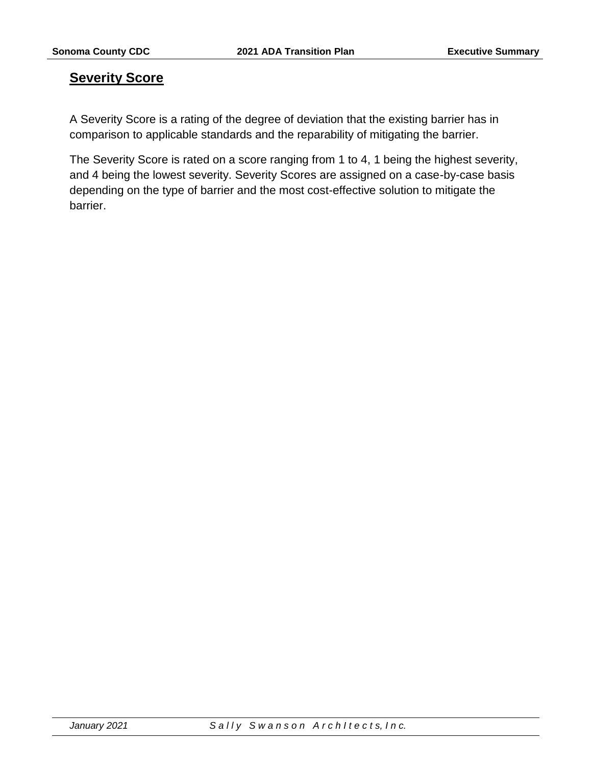## <span id="page-22-0"></span>**Severity Score**

A Severity Score is a rating of the degree of deviation that the existing barrier has in comparison to applicable standards and the reparability of mitigating the barrier.

The Severity Score is rated on a score ranging from 1 to 4, 1 being the highest severity, and 4 being the lowest severity. Severity Scores are assigned on a case-by-case basis depending on the type of barrier and the most cost-effective solution to mitigate the barrier.